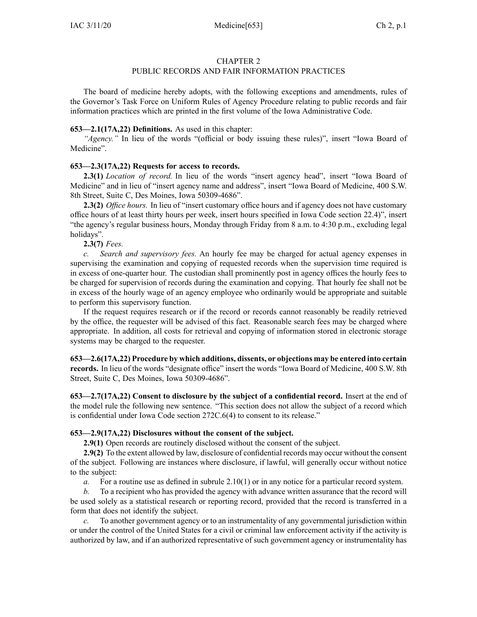### CHAPTER 2

## PUBLIC RECORDS AND FAIR INFORMATION PRACTICES

The board of medicine hereby adopts, with the following exceptions and amendments, rules of the Governor's Task Force on Uniform Rules of Agency Procedure relating to public records and fair information practices which are printed in the first volume of the Iowa Administrative Code.

## **653—2.1(17A,22) Definitions.** As used in this chapter:

*"Agency."* In lieu of the words "(official or body issuing these rules)", insert "Iowa Board of Medicine".

## **653—2.3(17A,22) Requests for access to records.**

**2.3(1)** *Location of record.* In lieu of the words "insert agency head", insert "Iowa Board of Medicine" and in lieu of "insert agency name and address", insert "Iowa Board of Medicine, 400 S.W. 8th Street, Suite C, Des Moines, Iowa 50309-4686".

**2.3(2)** *Office hours.* In lieu of "insert customary office hours and if agency does not have customary office hours of at least thirty hours per week, insert hours specified in Iowa Code section [22.4](https://www.legis.iowa.gov/docs/ico/section/22.4.pdf))", insert "the agency's regular business hours, Monday through Friday from 8 a.m. to 4:30 p.m., excluding legal holidays".

## **2.3(7)** *Fees.*

*c. Search and supervisory fees.* An hourly fee may be charged for actual agency expenses in supervising the examination and copying of requested records when the supervision time required is in excess of one-quarter hour. The custodian shall prominently pos<sup>t</sup> in agency offices the hourly fees to be charged for supervision of records during the examination and copying. That hourly fee shall not be in excess of the hourly wage of an agency employee who ordinarily would be appropriate and suitable to perform this supervisory function.

If the reques<sup>t</sup> requires research or if the record or records cannot reasonably be readily retrieved by the office, the requester will be advised of this fact. Reasonable search fees may be charged where appropriate. In addition, all costs for retrieval and copying of information stored in electronic storage systems may be charged to the requester.

**653—2.6(17A,22) Procedure by which additions, dissents, or objections may be entered into certain records.** In lieu of the words "designate office" insert the words "Iowa Board of Medicine, 400 S.W. 8th Street, Suite C, Des Moines, Iowa 50309-4686".

**653—2.7(17A,22) Consent to disclosure by the subject of <sup>a</sup> confidential record.** Insert at the end of the model rule the following new sentence. "This section does not allow the subject of <sup>a</sup> record which is confidential under Iowa Code section [272C.6\(4\)](https://www.legis.iowa.gov/docs/ico/section/272C.6.pdf) to consent to its release."

### **653—2.9(17A,22) Disclosures without the consent of the subject.**

**2.9(1)** Open records are routinely disclosed without the consent of the subject.

**2.9(2)** To the extent allowed by law, disclosure of confidential records may occur without the consent of the subject. Following are instances where disclosure, if lawful, will generally occur without notice to the subject:

*a.* For <sup>a</sup> routine use as defined in subrule [2.10\(1\)](https://www.legis.iowa.gov/docs/iac/rule/653.2.10.pdf) or in any notice for <sup>a</sup> particular record system.

*b.* To <sup>a</sup> recipient who has provided the agency with advance written assurance that the record will be used solely as <sup>a</sup> statistical research or reporting record, provided that the record is transferred in <sup>a</sup> form that does not identify the subject.

*c.* To another governmen<sup>t</sup> agency or to an instrumentality of any governmental jurisdiction within or under the control of the United States for <sup>a</sup> civil or criminal law enforcement activity if the activity is authorized by law, and if an authorized representative of such governmen<sup>t</sup> agency or instrumentality has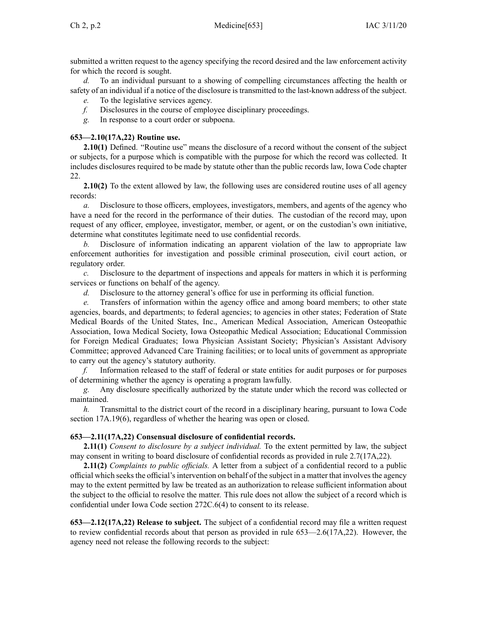submitted <sup>a</sup> written reques<sup>t</sup> to the agency specifying the record desired and the law enforcement activity for which the record is sought.

*d.* To an individual pursuan<sup>t</sup> to <sup>a</sup> showing of compelling circumstances affecting the health or safety of an individual if <sup>a</sup> notice of the disclosure is transmitted to the last-known address of the subject.

*e.* To the legislative services agency.

*f.* Disclosures in the course of employee disciplinary proceedings.

*g.* In response to <sup>a</sup> court order or subpoena.

# **653—2.10(17A,22) Routine use.**

**2.10(1)** Defined. "Routine use" means the disclosure of <sup>a</sup> record without the consent of the subject or subjects, for <sup>a</sup> purpose which is compatible with the purpose for which the record was collected. It includes disclosures required to be made by statute other than the public records law, Iowa Code chapter [22](https://www.legis.iowa.gov/docs/ico/chapter/22.pdf).

**2.10(2)** To the extent allowed by law, the following uses are considered routine uses of all agency records:

*a.* Disclosure to those officers, employees, investigators, members, and agents of the agency who have <sup>a</sup> need for the record in the performance of their duties. The custodian of the record may, upon reques<sup>t</sup> of any officer, employee, investigator, member, or agent, or on the custodian's own initiative, determine what constitutes legitimate need to use confidential records.

Disclosure of information indicating an apparent violation of the law to appropriate law enforcement authorities for investigation and possible criminal prosecution, civil court action, or regulatory order.

*c.* Disclosure to the department of inspections and appeals for matters in which it is performing services or functions on behalf of the agency.

*d.* Disclosure to the attorney general's office for use in performing its official function.

*e.* Transfers of information within the agency office and among board members; to other state agencies, boards, and departments; to federal agencies; to agencies in other states; Federation of State Medical Boards of the United States, Inc., American Medical Association, American Osteopathic Association, Iowa Medical Society, Iowa Osteopathic Medical Association; Educational Commission for Foreign Medical Graduates; Iowa Physician Assistant Society; Physician's Assistant Advisory Committee; approved Advanced Care Training facilities; or to local units of governmen<sup>t</sup> as appropriate to carry out the agency's statutory authority.

*f.* Information released to the staff of federal or state entities for audit purposes or for purposes of determining whether the agency is operating <sup>a</sup> program lawfully.

*g.* Any disclosure specifically authorized by the statute under which the record was collected or maintained.

*h.* Transmittal to the district court of the record in <sup>a</sup> disciplinary hearing, pursuan<sup>t</sup> to Iowa Code section [17A.19\(6\)](https://www.legis.iowa.gov/docs/ico/section/17A.19.pdf), regardless of whether the hearing was open or closed.

# **653—2.11(17A,22) Consensual disclosure of confidential records.**

**2.11(1)** *Consent to disclosure by <sup>a</sup> subject individual.* To the extent permitted by law, the subject may consent in writing to board disclosure of confidential records as provided in rule [2.7](https://www.legis.iowa.gov/docs/iac/rule/653.2.7.pdf)(17A,22).

**2.11(2)** *Complaints to public officials.* A letter from <sup>a</sup> subject of <sup>a</sup> confidential record to <sup>a</sup> public official which seeks the official's intervention on behalf of the subject in a matter that involves the agency may to the extent permitted by law be treated as an authorization to release sufficient information about the subject to the official to resolve the matter. This rule does not allow the subject of <sup>a</sup> record which is confidential under Iowa Code section [272C.6\(4\)](https://www.legis.iowa.gov/docs/ico/section/272C.6.pdf) to consent to its release.

**653—2.12(17A,22) Release to subject.** The subject of <sup>a</sup> confidential record may file <sup>a</sup> written reques<sup>t</sup> to review confidential records about that person as provided in rule [653—2.6](https://www.legis.iowa.gov/docs/iac/rule/653.2.6.pdf)(17A,22). However, the agency need not release the following records to the subject: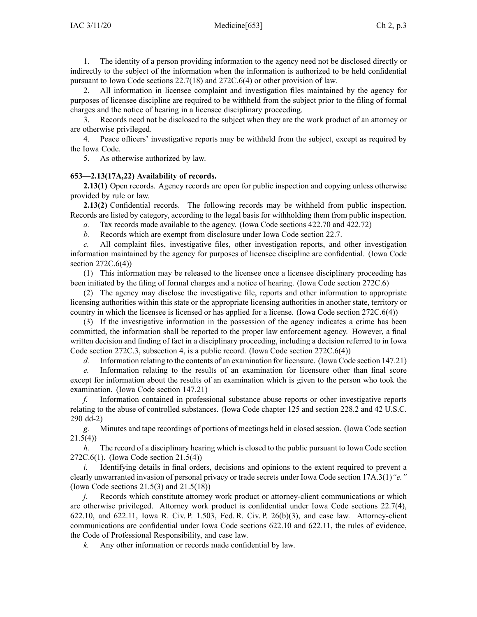1. The identity of <sup>a</sup> person providing information to the agency need not be disclosed directly or indirectly to the subject of the information when the information is authorized to be held confidential pursuan<sup>t</sup> to Iowa Code sections [22.7\(18\)](https://www.legis.iowa.gov/docs/ico/section/22.7.pdf) and [272C.6\(4\)](https://www.legis.iowa.gov/docs/ico/section/272C.6.pdf) or other provision of law.

2. All information in licensee complaint and investigation files maintained by the agency for purposes of licensee discipline are required to be withheld from the subject prior to the filing of formal charges and the notice of hearing in <sup>a</sup> licensee disciplinary proceeding.

3. Records need not be disclosed to the subject when they are the work product of an attorney or are otherwise privileged.

4. Peace officers' investigative reports may be withheld from the subject, excep<sup>t</sup> as required by the Iowa Code.

5. As otherwise authorized by law.

## **653—2.13(17A,22) Availability of records.**

**2.13(1)** Open records. Agency records are open for public inspection and copying unless otherwise provided by rule or law.

**2.13(2)** Confidential records. The following records may be withheld from public inspection. Records are listed by category, according to the legal basis for withholding them from public inspection.

*a.* Tax records made available to the agency. (Iowa Code sections [422.70](https://www.legis.iowa.gov/docs/ico/section/422.70.pdf) and [422.72](https://www.legis.iowa.gov/docs/ico/section/422.72.pdf))

*b.* Records which are exemp<sup>t</sup> from disclosure under Iowa Code section [22.7](https://www.legis.iowa.gov/docs/ico/section/22.7.pdf).

*c.* All complaint files, investigative files, other investigation reports, and other investigation information maintained by the agency for purposes of licensee discipline are confidential. (Iowa Code section  $272C.6(4)$ )

(1) This information may be released to the licensee once <sup>a</sup> licensee disciplinary proceeding has been initiated by the filing of formal charges and <sup>a</sup> notice of hearing. (Iowa Code section [272C.6](https://www.legis.iowa.gov/docs/ico/section/272C.6.pdf))

(2) The agency may disclose the investigative file, reports and other information to appropriate licensing authorities within this state or the appropriate licensing authorities in another state, territory or country in which the licensee is licensed or has applied for <sup>a</sup> license. (Iowa Code section [272C.6\(4\)](https://www.legis.iowa.gov/docs/ico/section/272C.6.pdf))

(3) If the investigative information in the possession of the agency indicates <sup>a</sup> crime has been committed, the information shall be reported to the proper law enforcement agency. However, <sup>a</sup> final written decision and finding of fact in <sup>a</sup> disciplinary proceeding, including <sup>a</sup> decision referred to in Iowa Code section 272C.3, [subsection](https://www.legis.iowa.gov/docs/ico/section/272C.3.pdf) 4, is <sup>a</sup> public record. (Iowa Code section [272C.6\(4\)](https://www.legis.iowa.gov/docs/ico/section/272C.6.pdf))

*d.* Information relating to the contents of an examination for licensure. (Iowa Code section [147.21](https://www.legis.iowa.gov/docs/ico/section/147.21.pdf))

*e.* Information relating to the results of an examination for licensure other than final score excep<sup>t</sup> for information about the results of an examination which is given to the person who took the examination. (Iowa Code section [147.21](https://www.legis.iowa.gov/docs/ico/section/147.21.pdf))

*f.* Information contained in professional substance abuse reports or other investigative reports relating to the abuse of controlled substances. (Iowa Code chapter [125](https://www.legis.iowa.gov/docs/ico/chapter/125.pdf) and section [228.2](https://www.legis.iowa.gov/docs/ico/section/228.2.pdf) and 42 U.S.C. 290 dd-2)

*g.* Minutes and tape recordings of portions of meetings held in closed session. (Iowa Code section [21.5\(4\)](https://www.legis.iowa.gov/docs/ico/section/21.5.pdf))

*h.* The record of <sup>a</sup> disciplinary hearing which is closed to the public pursuan<sup>t</sup> to Iowa Code section [272C.6\(1\)](https://www.legis.iowa.gov/docs/ico/section/272C.6.pdf). (Iowa Code section [21.5\(4\)](https://www.legis.iowa.gov/docs/ico/section/21.5.pdf))

*i.* Identifying details in final orders, decisions and opinions to the extent required to prevent a clearly unwarranted invasion of personal privacy or trade secrets under Iowa Code section [17A.3\(1\)](https://www.legis.iowa.gov/docs/ico/section/17A.3.pdf)*"e."* (Iowa Code sections [21.5\(3\)](https://www.legis.iowa.gov/docs/ico/section/21.5.pdf) and [21.5\(18\)](https://www.legis.iowa.gov/docs/ico/section/21.5.pdf))

*j.* Records which constitute attorney work product or attorney-client communications or which are otherwise privileged. Attorney work product is confidential under Iowa Code sections [22.7\(4\)](https://www.legis.iowa.gov/docs/ico/section/22.7.pdf), [622.10](https://www.legis.iowa.gov/docs/ico/section/622.10.pdf), and [622.11](https://www.legis.iowa.gov/docs/ico/section/622.11.pdf), Iowa R. Civ. P. 1.503, Fed. R. Civ. P. 26(b)(3), and case law. Attorney-client communications are confidential under Iowa Code sections [622.10](https://www.legis.iowa.gov/docs/ico/section/622.10.pdf) and [622.11](https://www.legis.iowa.gov/docs/ico/section/622.11.pdf), the rules of evidence, the Code of Professional Responsibility, and case law.

*k.* Any other information or records made confidential by law.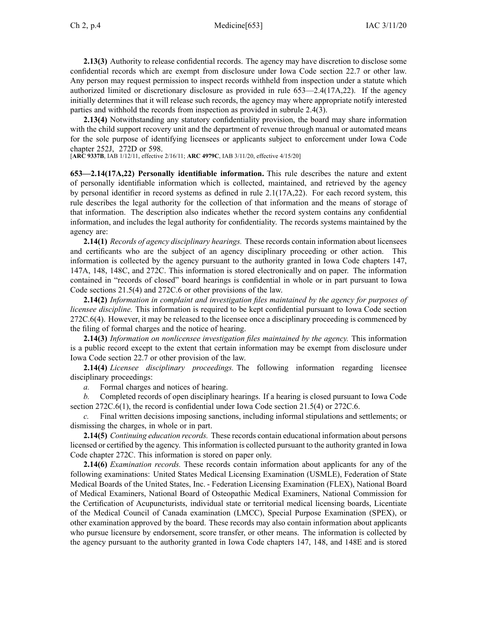**2.13(3)** Authority to release confidential records. The agency may have discretion to disclose some confidential records which are exemp<sup>t</sup> from disclosure under Iowa Code section [22.7](https://www.legis.iowa.gov/docs/ico/section/22.7.pdf) or other law. Any person may reques<sup>t</sup> permission to inspect records withheld from inspection under <sup>a</sup> statute which authorized limited or discretionary disclosure as provided in rule [653—2.4](https://www.legis.iowa.gov/docs/iac/rule/653.2.4.pdf)(17A,22). If the agency initially determines that it will release such records, the agency may where appropriate notify interested parties and withhold the records from inspection as provided in subrule [2.4\(3\)](https://www.legis.iowa.gov/docs/iac/rule/653.2.4.pdf).

**2.13(4)** Notwithstanding any statutory confidentiality provision, the board may share information with the child support recovery unit and the department of revenue through manual or automated means for the sole purpose of identifying licensees or applicants subject to enforcement under Iowa Code chapter [252J](https://www.legis.iowa.gov/docs/ico/chapter/252J.pdf), [272D](https://www.legis.iowa.gov/docs/ico/chapter/272D.pdf) or [598](https://www.legis.iowa.gov/docs/ico/chapter/598.pdf).

[**ARC [9337B](https://www.legis.iowa.gov/docs/aco/arc/9337B.pdf)**, IAB 1/12/11, effective 2/16/11; **ARC [4979C](https://www.legis.iowa.gov/docs/aco/arc/4979C.pdf)**, IAB 3/11/20, effective 4/15/20]

**653—2.14(17A,22) Personally identifiable information.** This rule describes the nature and extent of personally identifiable information which is collected, maintained, and retrieved by the agency by personal identifier in record systems as defined in rule [2.1\(17A,22\)](https://www.legis.iowa.gov/docs/iac/rule/653.2.1.pdf). For each record system, this rule describes the legal authority for the collection of that information and the means of storage of that information. The description also indicates whether the record system contains any confidential information, and includes the legal authority for confidentiality. The records systems maintained by the agency are:

**2.14(1)** *Records of agency disciplinary hearings.* These records contain information about licensees and certificants who are the subject of an agency disciplinary proceeding or other action. This information is collected by the agency pursuan<sup>t</sup> to the authority granted in Iowa Code chapters [147](https://www.legis.iowa.gov/docs/ico/chapter/147.pdf), [147A](https://www.legis.iowa.gov/docs/ico/chapter/147A.pdf), [148](https://www.legis.iowa.gov/docs/ico/chapter/148.pdf), [148C](https://www.legis.iowa.gov/docs/ico/chapter/148C.pdf), and [272C](https://www.legis.iowa.gov/docs/ico/chapter/272C.pdf). This information is stored electronically and on paper. The information contained in "records of closed" board hearings is confidential in whole or in par<sup>t</sup> pursuan<sup>t</sup> to Iowa Code sections [21.5\(4\)](https://www.legis.iowa.gov/docs/ico/section/21.5.pdf) and [272C.6](https://www.legis.iowa.gov/docs/ico/section/272C.6.pdf) or other provisions of the law.

**2.14(2)** *Information in complaint and investigation files maintained by the agency for purposes of licensee discipline.* This information is required to be kept confidential pursuan<sup>t</sup> to Iowa Code section [272C.6\(4\)](https://www.legis.iowa.gov/docs/ico/section/272C.6.pdf). However, it may be released to the licensee once <sup>a</sup> disciplinary proceeding is commenced by the filing of formal charges and the notice of hearing.

**2.14(3)** *Information on nonlicensee investigation files maintained by the agency.* This information is <sup>a</sup> public record excep<sup>t</sup> to the extent that certain information may be exemp<sup>t</sup> from disclosure under Iowa Code section [22.7](https://www.legis.iowa.gov/docs/ico/section/22.7.pdf) or other provision of the law.

**2.14(4)** *Licensee disciplinary proceedings.* The following information regarding licensee disciplinary proceedings:

*a.* Formal charges and notices of hearing.

*b.* Completed records of open disciplinary hearings. If <sup>a</sup> hearing is closed pursuan<sup>t</sup> to Iowa Code section [272C.6\(1\)](https://www.legis.iowa.gov/docs/ico/section/272C.6.pdf), the record is confidential under Iowa Code section [21.5\(4\)](https://www.legis.iowa.gov/docs/ico/section/21.5.pdf) or [272C.6](https://www.legis.iowa.gov/docs/ico/section/272C.6.pdf).

*c.* Final written decisions imposing sanctions, including informal stipulations and settlements; or dismissing the charges, in whole or in part.

**2.14(5)** *Continuing education records.* These records contain educational information about persons licensed or certified by the agency. Thisinformation is collected pursuan<sup>t</sup> to the authority granted in Iowa Code chapter [272C](https://www.legis.iowa.gov/docs/ico/chapter/272C.pdf). This information is stored on paper only.

**2.14(6)** *Examination records.* These records contain information about applicants for any of the following examinations: United States Medical Licensing Examination (USMLE), Federation of State Medical Boards of the United States, Inc. - Federation Licensing Examination (FLEX), National Board of Medical Examiners, National Board of Osteopathic Medical Examiners, National Commission for the Certification of Acupuncturists, individual state or territorial medical licensing boards, Licentiate of the Medical Council of Canada examination (LMCC), Special Purpose Examination (SPEX), or other examination approved by the board. These records may also contain information about applicants who pursue licensure by endorsement, score transfer, or other means. The information is collected by the agency pursuan<sup>t</sup> to the authority granted in Iowa Code chapters [147](https://www.legis.iowa.gov/docs/ico/chapter/147.pdf), [148](https://www.legis.iowa.gov/docs/ico/chapter/148.pdf), and [148E](https://www.legis.iowa.gov/docs/ico/chapter/148E.pdf) and is stored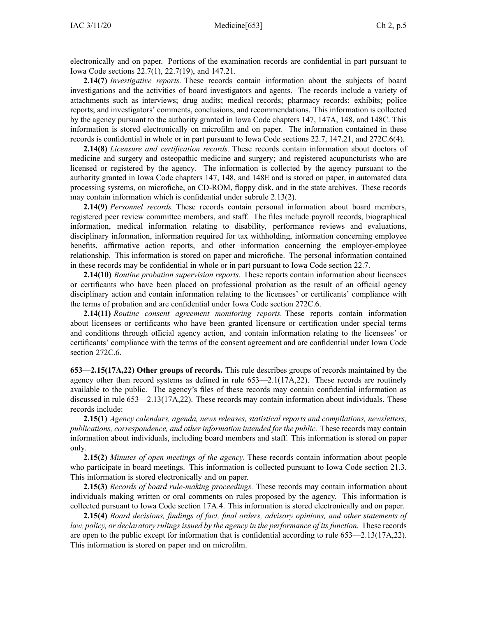electronically and on paper. Portions of the examination records are confidential in par<sup>t</sup> pursuan<sup>t</sup> to Iowa Code sections [22.7\(1\)](https://www.legis.iowa.gov/docs/ico/section/22.7.pdf), [22.7\(19\)](https://www.legis.iowa.gov/docs/ico/section/22.7.pdf), and [147.21](https://www.legis.iowa.gov/docs/ico/section/147.21.pdf).

**2.14(7)** *Investigative reports.* These records contain information about the subjects of board investigations and the activities of board investigators and agents. The records include <sup>a</sup> variety of attachments such as interviews; drug audits; medical records; pharmacy records; exhibits; police reports; and investigators' comments, conclusions, and recommendations. This information is collected by the agency pursuan<sup>t</sup> to the authority granted in Iowa Code chapters [147](https://www.legis.iowa.gov/docs/ico/chapter/147.pdf), [147A](https://www.legis.iowa.gov/docs/ico/chapter/147A.pdf), [148](https://www.legis.iowa.gov/docs/ico/chapter/148.pdf), and [148C](https://www.legis.iowa.gov/docs/ico/chapter/148C.pdf). This information is stored electronically on microfilm and on paper. The information contained in these records is confidential in whole or in par<sup>t</sup> pursuan<sup>t</sup> to Iowa Code sections [22.7](https://www.legis.iowa.gov/docs/ico/section/22.7.pdf), [147.21](https://www.legis.iowa.gov/docs/ico/section/147.21.pdf), and [272C.6\(4\)](https://www.legis.iowa.gov/docs/ico/section/272C.6.pdf).

**2.14(8)** *Licensure and certification records.* These records contain information about doctors of medicine and surgery and osteopathic medicine and surgery; and registered acupuncturists who are licensed or registered by the agency. The information is collected by the agency pursuan<sup>t</sup> to the authority granted in Iowa Code chapters [147](https://www.legis.iowa.gov/docs/ico/chapter/147.pdf), [148](https://www.legis.iowa.gov/docs/ico/chapter/148.pdf), and [148E](https://www.legis.iowa.gov/docs/ico/chapter/148E.pdf) and is stored on paper, in automated data processing systems, on microfiche, on CD-ROM, floppy disk, and in the state archives. These records may contain information which is confidential under subrule [2.13\(2\)](https://www.legis.iowa.gov/docs/iac/rule/653.2.13.pdf).

**2.14(9)** *Personnel records.* These records contain personal information about board members, registered peer review committee members, and staff. The files include payroll records, biographical information, medical information relating to disability, performance reviews and evaluations, disciplinary information, information required for tax withholding, information concerning employee benefits, affirmative action reports, and other information concerning the employer-employee relationship. This information is stored on paper and microfiche. The personal information contained in these records may be confidential in whole or in par<sup>t</sup> pursuan<sup>t</sup> to Iowa Code section [22.7](https://www.legis.iowa.gov/docs/ico/section/22.7.pdf).

**2.14(10)** *Routine probation supervision reports.* These reports contain information about licensees or certificants who have been placed on professional probation as the result of an official agency disciplinary action and contain information relating to the licensees' or certificants' compliance with the terms of probation and are confidential under Iowa Code section [272C.6](https://www.legis.iowa.gov/docs/ico/section/272C.6.pdf).

**2.14(11)** *Routine consent agreemen<sup>t</sup> monitoring reports.* These reports contain information about licensees or certificants who have been granted licensure or certification under special terms and conditions through official agency action, and contain information relating to the licensees' or certificants' compliance with the terms of the consent agreemen<sup>t</sup> and are confidential under Iowa Code section [272C.6](https://www.legis.iowa.gov/docs/ico/section/272C.6.pdf).

**653—2.15(17A,22) Other groups of records.** This rule describes groups of records maintained by the agency other than record systems as defined in rule [653—2.1\(17A,22\)](https://www.legis.iowa.gov/docs/iac/rule/653.2.1.pdf). These records are routinely available to the public. The agency's files of these records may contain confidential information as discussed in rule [653—2.13\(17A,22\)](https://www.legis.iowa.gov/docs/iac/rule/653.2.13.pdf). These records may contain information about individuals. These records include:

**2.15(1)** *Agency calendars, agenda, news releases, statistical reports and compilations, newsletters, publications, correspondence, and other information intended for the public.* These records may contain information about individuals, including board members and staff. This information is stored on paper only.

**2.15(2)** *Minutes of open meetings of the agency.* These records contain information about people who participate in board meetings. This information is collected pursuan<sup>t</sup> to Iowa Code section [21.3](https://www.legis.iowa.gov/docs/ico/section/21.3.pdf). This information is stored electronically and on paper.

**2.15(3)** *Records of board rule-making proceedings.* These records may contain information about individuals making written or oral comments on rules proposed by the agency. This information is collected pursuan<sup>t</sup> to Iowa Code section [17A.4](https://www.legis.iowa.gov/docs/ico/section/17A.4.pdf). This information is stored electronically and on paper.

**2.15(4)** *Board decisions, findings of fact, final orders, advisory opinions, and other statements of law, policy, or declaratory rulings issued by the agency in the performance of its function.* These records are open to the public excep<sup>t</sup> for information that is confidential according to rule [653—2.13\(17A,22\)](https://www.legis.iowa.gov/docs/iac/rule/653.2.13.pdf). This information is stored on paper and on microfilm.